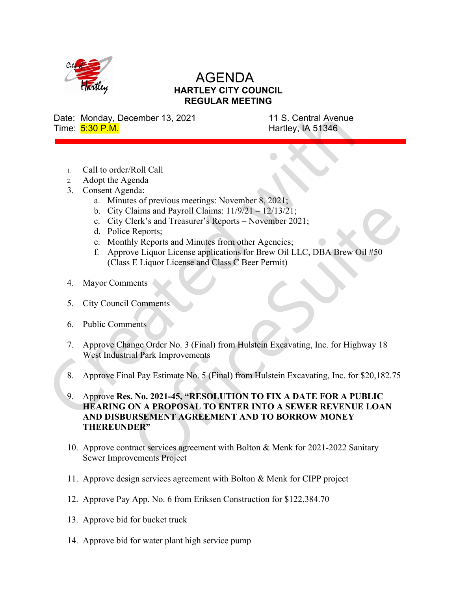

## AGENDA HARTLEY CITY COUNCIL REGULAR MEETING

Date: Monday, December 13, 2021 11 S. Central Avenue Time:  $\frac{5:30 \text{ P.M.}}{5:30 \text{ P.M.}}$ 

- 1. Call to order/Roll Call
- 2. Adopt the Agenda
- 3. Consent Agenda:
	- a. Minutes of previous meetings: November 8, 2021;
	- b. City Claims and Payroll Claims:  $11/9/21 12/13/21$ ;
	- c. City Clerk's and Treasurer's Reports November 2021;
	- d. Police Reports;
	- e. Monthly Reports and Minutes from other Agencies;
	- f. Approve Liquor License applications for Brew Oil LLC, DBA Brew Oil #50 (Class E Liquor License and Class C Beer Permit)
- 4. Mayor Comments
- 5. City Council Comments
- 6. Public Comments
- 7. Approve Change Order No. 3 (Final) from Hulstein Excavating, Inc. for Highway 18 West Industrial Park Improvements
- 8. Approve Final Pay Estimate No. 5 (Final) from Hulstein Excavating, Inc. for \$20,182.75
- 9. Approve Res. No. 2021-45, "RESOLUTION TO FIX A DATE FOR A PUBLIC HEARING ON A PROPOSAL TO ENTER INTO A SEWER REVENUE LOAN AND DISBURSEMENT AGREEMENT AND TO BORROW MONEY THEREUNDER"
- 10. Approve contract services agreement with Bolton & Menk for 2021-2022 Sanitary Sewer Improvements Project
- 11. Approve design services agreement with Bolton & Menk for CIPP project
- 12. Approve Pay App. No. 6 from Eriksen Construction for \$122,384.70
- 13. Approve bid for bucket truck
- 14. Approve bid for water plant high service pump